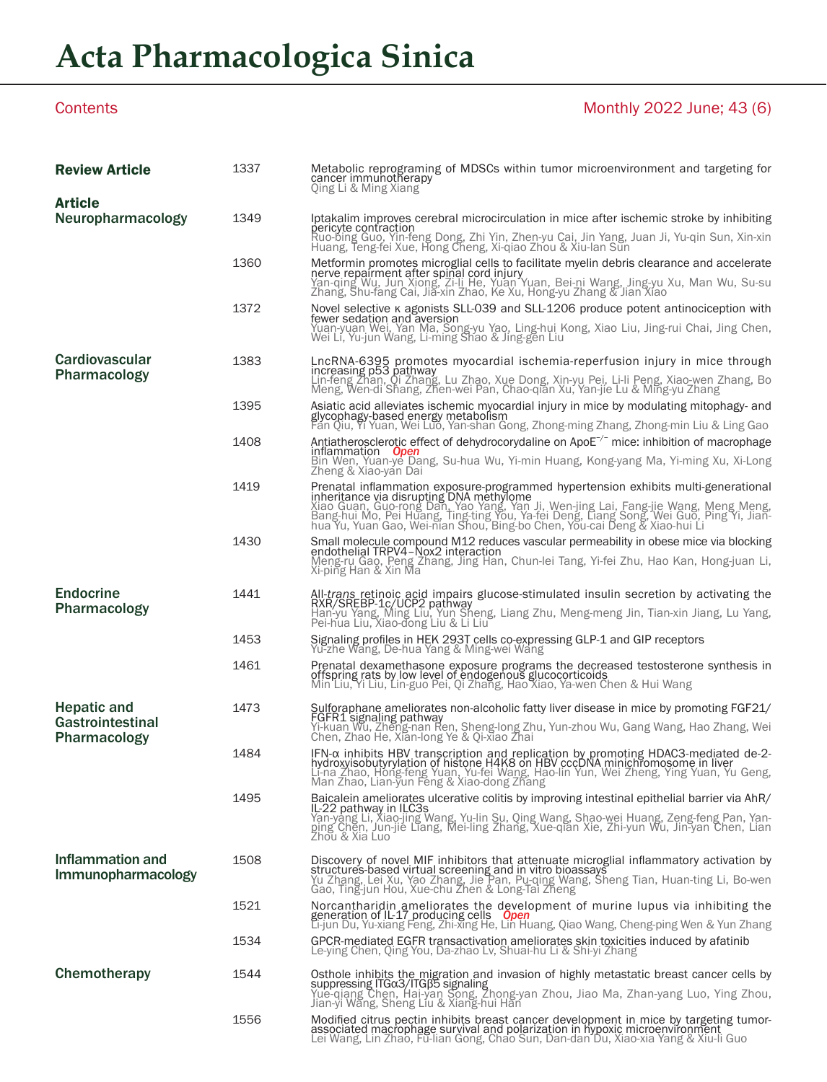## **Acta Pharmacologica Sinica**

### Contents **Monthly 2022 June: 43 (6)** 1337 Metabolic reprograming of MDSCs within tumor microenvironment and targeting for cancer immunotherapy Qing Li & Ming Xiang 1349 Iptakalim improves cerebral microcirculation in mice after ischemic stroke by inhibiting pericyte contraction Ruo-bing Guo, Yin-feng Dong, Zhi Yin, Zhen-yu Cai, Jin Yang, Juan Ji, Yu-qin Sun, Xin-xin Huang, Teng-fei Xue, Hong Cheng, Xi-qiao Zhou & Xiu-lan Sun 1360 Metformin promotes microglial cells to facilitate myelin debris clearance and accelerate<br>nerve repairment after spinal cord injury<br>Yan-qing Wu, Jun Xiong, Zi-li He, Yuan Yuan, Bei-ni Wang, Jing-yu Xu, Man Wu, Su-su<br>Zh 1372 Movel selective κ agonists SLL-039 and SLL-1206 produce potent antinociception with fewer sedation and aversion<br>Yuan-yuan Wei, Yan Ma, Song-yu Yao, Ling-hui Kong, Xiao Liu, Jing-rui Chai, Jing Chen,<br>Wei Li, Yu-jun Wang, Li-ming Shao & Jing-gen Liu 1383 LncRNA-6395 promotes myocardial ischemia-reperfusion injury in mice through increasing p53 pathway Lin-feng Zhan, Qi Zhang, Lu Zhao, Xue Dong, Xin-yu Pei, Li-li Peng, Xiao-wen Zhang, Bo Meng, Wen-di Shang, Zhen-wei Pan, Chao-qian Xu, Yan-jie Lu & Ming-yu Zhang 1395 Asiatic acid alleviates ischemic myocardial injury in mice by modulating mitophagy- and glycophagy-based energy metabolism Fan Qiu, Yi Yuan, Wei Luo, Yan-shan Gong, Zhong-ming Zhang, Zhong-min Liu & Ling Gao 1408 Antiatherosclerotic effect of dehydrocorydaline on ApoE<sup>−/−</sup> mice: inhibition of macrophage<br>inflammation *Open*<br>Bin Wen, Yuan-ye Dang, Su-hua Wu, Yi-min Huang, Kong-yang Ma, Yi-ming Xu, Xi-Long<br>Zheng & Xiao-yan Dai Prenatal inflammation exposure-programmed hypertension exhibits multi-generational<br>inheritance via disrupting DNA methylome<br>Xiao Guan, Guo-rong Dan, Yao Yang, Yan Ji, Wen-jing Lai, Fang-jie Wang, Meng Meng,<br>Bang-hui Mo, Pe **1430** Small molecule compound M12 reduces vascular permeability in obese mice via blocking<br>endothelial TRPV4-Nox2 interaction<br>Meng-ru Gao, Peng Zhang, Jing Han, Chun-lei Tang, Yi-fei Zhu, Hao Kan, Hong-juan Li,<br>Xi-ping Ha 1441 All-*trans* retinoic acid impairs glucose-stimulated insulin secretion by activating the<br>RXR/SREBP-1c/UCP2 pathway<br>Han-yu Yang, Ming Liu, Yun Sheng, Liang Zhu, Meng-meng Jin, Tian-xin Jiang, Lu Yang,<br>Pei-hua Liu, Xiao <sup>1453</sup> Signaling profiles in HEK 293T cells co-expressing GLP-1 and GIP receptors Yu-zhe Wang, De-hua Yang & Ming-wei Wang 1461 Prenatal dexamethasone exposure programs the decreased testosterone synthesis in offspring rats by low level of endogenous glucocorticoids Min Liu, Yi Liu, Lin-guo Pei, Qi Zhang, Hao Xiao, Ya-wen Chen & Hui Wang Sulforaphane ameliorates non-alcoholic fatty liver disease in mice by promoting FGF21/<br>FGFR1 signaling pathway<br>Yi-kuan Wu, Zheng-nan Ren, Sheng-long Zhu, Yun-zhou Wu, Gang Wang, Hao Zhang, Wei<br>Chen, Zhao He, Xian-long Ye & 1484 IFN-α inhibits HBV transcription and replication by promoting HDAC3-mediated de-2-<br>hydroxyisobutyrylation of histone H4K8 on HBV cccDNA minichromosome in liver<br>Li-na Zhao, Hong-feng Yuan, Yu-fei Wang, Hao-lin Yun, We **1495 Baicalein ameliorates ulcerative colitis by improving intestinal epithelial barrier via AhR/**<br>IL-22 p**athway in LLC3s**<br>Yan-yang Li, Xiao-jing Wang, Yu-lin Su, Qing Wang, Shao-wei Huang, Zeng-feng Pan, Yan-<br>ping Chen, 1508 Discovery of novel MIF inhibitors that attenuate microglial inflammatory activation by<br>structures-based virtual screening and in vitro bioassays<br>Yu Zhang, Lei Xu, Yao Zhang, Jie Pan, Pu-qing Wang, Sheng Tian, Huan-tin 1521 Norcantharidin ameliorates the development of murine lupus via inhibiting the generation of IL-17 producing cells *Open* Li-jun Du, Yu-xiang Feng, Zhi-xing He, Lin Huang, Qiao Wang, Cheng-ping Wen & Yun Zhang 1534 GPCR-mediated EGFR transactivation ameliorates skin toxicities induced by afatinib Le-ying Chen, Qing You, Da-zhao Lv, Shuai-hu Li & Shi-yi Zhang **1544 Combing Community Community Community Community Community Community Community Suppressing ITGa3/ITGB5 signaling<br>Suppressing Chen, Hai-yan Song, Zhong-yan Zhou, Jiao Ma, Zhan-yang Luo, Ying Zhou,<br>Jian-yi Wang, Sheng** 1556 Modified citrus pectin inhibits breast cancer development in mice by targeting tumor-<br>associated macrophage survival and polarization in hypoxic microenvironment<br>Lei Wang, Lin Zhao, Fu-lian Gong, Chao Sun, Dan-dan Du, Neuropharmacology Review Article **Cardiovascular** Pharmacology Hepatic and Gastrointestinal Pharmacology Endocrine Pharmacology **Article** Inflammation and Immunopharmacology **Chemotherapy**